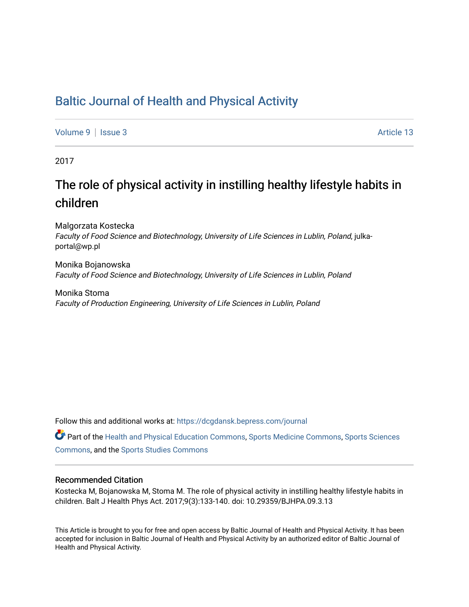## [Baltic Journal of Health and Physical Activity](https://dcgdansk.bepress.com/journal)

[Volume 9](https://dcgdansk.bepress.com/journal/vol9) | [Issue 3](https://dcgdansk.bepress.com/journal/vol9/iss3) Article 13

2017

## The role of physical activity in instilling healthy lifestyle habits in children

Malgorzata Kostecka Faculty of Food Science and Biotechnology, University of Life Sciences in Lublin, Poland, julkaportal@wp.pl

Monika Bojanowska Faculty of Food Science and Biotechnology, University of Life Sciences in Lublin, Poland

Monika Stoma Faculty of Production Engineering, University of Life Sciences in Lublin, Poland

Follow this and additional works at: [https://dcgdansk.bepress.com/journal](https://dcgdansk.bepress.com/journal?utm_source=dcgdansk.bepress.com%2Fjournal%2Fvol9%2Fiss3%2F13&utm_medium=PDF&utm_campaign=PDFCoverPages)

Part of the [Health and Physical Education Commons](http://network.bepress.com/hgg/discipline/1327?utm_source=dcgdansk.bepress.com%2Fjournal%2Fvol9%2Fiss3%2F13&utm_medium=PDF&utm_campaign=PDFCoverPages), [Sports Medicine Commons,](http://network.bepress.com/hgg/discipline/1331?utm_source=dcgdansk.bepress.com%2Fjournal%2Fvol9%2Fiss3%2F13&utm_medium=PDF&utm_campaign=PDFCoverPages) [Sports Sciences](http://network.bepress.com/hgg/discipline/759?utm_source=dcgdansk.bepress.com%2Fjournal%2Fvol9%2Fiss3%2F13&utm_medium=PDF&utm_campaign=PDFCoverPages) [Commons](http://network.bepress.com/hgg/discipline/759?utm_source=dcgdansk.bepress.com%2Fjournal%2Fvol9%2Fiss3%2F13&utm_medium=PDF&utm_campaign=PDFCoverPages), and the [Sports Studies Commons](http://network.bepress.com/hgg/discipline/1198?utm_source=dcgdansk.bepress.com%2Fjournal%2Fvol9%2Fiss3%2F13&utm_medium=PDF&utm_campaign=PDFCoverPages) 

#### Recommended Citation

Kostecka M, Bojanowska M, Stoma M. The role of physical activity in instilling healthy lifestyle habits in children. Balt J Health Phys Act. 2017;9(3):133-140. doi: 10.29359/BJHPA.09.3.13

This Article is brought to you for free and open access by Baltic Journal of Health and Physical Activity. It has been accepted for inclusion in Baltic Journal of Health and Physical Activity by an authorized editor of Baltic Journal of Health and Physical Activity.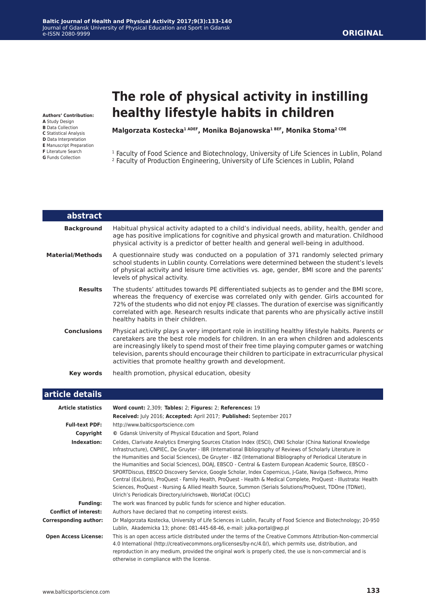# **The role of physical activity in instilling healthy lifestyle habits in children**

**Authors' Contribution:**

- **A** Study Design
- **B** Data Collection
- **C** Statistical Analysis **D** Data Interpretation
- **E** Manuscript Preparation
- **F** Literature Search
- **G** Funds Collection

L

**Malgorzata Kostecka1 ADEF, Monika Bojanowska1 BEF, Monika Stoma2 CDE**

<sup>1</sup> Faculty of Food Science and Biotechnology, University of Life Sciences in Lublin, Poland

2 Faculty of Production Engineering, University of Life Sciences in Lublin, Poland

| abstract                |                                                                                                                                                                                                                                                                                                                                                                                                                                                           |
|-------------------------|-----------------------------------------------------------------------------------------------------------------------------------------------------------------------------------------------------------------------------------------------------------------------------------------------------------------------------------------------------------------------------------------------------------------------------------------------------------|
| <b>Background</b>       | Habitual physical activity adapted to a child's individual needs, ability, health, gender and<br>age has positive implications for cognitive and physical growth and maturation. Childhood<br>physical activity is a predictor of better health and general well-being in adulthood.                                                                                                                                                                      |
| <b>Material/Methods</b> | A questionnaire study was conducted on a population of 371 randomly selected primary<br>school students in Lublin county. Correlations were determined between the student's levels<br>of physical activity and leisure time activities vs. age, gender, BMI score and the parents'<br>levels of physical activity.                                                                                                                                       |
| <b>Results</b>          | The students' attitudes towards PE differentiated subjects as to gender and the BMI score,<br>whereas the frequency of exercise was correlated only with gender. Girls accounted for<br>72% of the students who did not enjoy PE classes. The duration of exercise was significantly<br>correlated with age. Research results indicate that parents who are physically active instill<br>healthy habits in their children.                                |
| <b>Conclusions</b>      | Physical activity plays a very important role in instilling healthy lifestyle habits. Parents or<br>caretakers are the best role models for children. In an era when children and adolescents<br>are increasingly likely to spend most of their free time playing computer games or watching<br>television, parents should encourage their children to participate in extracurricular physical<br>activities that promote healthy growth and development. |
| <b>Key words</b>        | health promotion, physical education, obesity                                                                                                                                                                                                                                                                                                                                                                                                             |

## **article details**

| <b>Article statistics</b>    | Word count: 2,309; Tables: 2; Figures: 2; References: 19                                                                                                                                                                                                                                                                                                                                                                                                                                                                                                                                                                                                                                                                                                                                                                                                      |
|------------------------------|---------------------------------------------------------------------------------------------------------------------------------------------------------------------------------------------------------------------------------------------------------------------------------------------------------------------------------------------------------------------------------------------------------------------------------------------------------------------------------------------------------------------------------------------------------------------------------------------------------------------------------------------------------------------------------------------------------------------------------------------------------------------------------------------------------------------------------------------------------------|
|                              | Received: July 2016; Accepted: April 2017; Published: September 2017                                                                                                                                                                                                                                                                                                                                                                                                                                                                                                                                                                                                                                                                                                                                                                                          |
| <b>Full-text PDF:</b>        | http://www.balticsportscience.com                                                                                                                                                                                                                                                                                                                                                                                                                                                                                                                                                                                                                                                                                                                                                                                                                             |
| Copyright                    | © Gdansk University of Physical Education and Sport, Poland                                                                                                                                                                                                                                                                                                                                                                                                                                                                                                                                                                                                                                                                                                                                                                                                   |
| Indexation:                  | Celdes, Clarivate Analytics Emerging Sources Citation Index (ESCI), CNKI Scholar (China National Knowledge<br>Infrastructure), CNPIEC, De Gruyter - IBR (International Bibliography of Reviews of Scholarly Literature in<br>the Humanities and Social Sciences), De Gruyter - IBZ (International Bibliography of Periodical Literature in<br>the Humanities and Social Sciences), DOAJ, EBSCO - Central & Eastern European Academic Source, EBSCO -<br>SPORTDiscus, EBSCO Discovery Service, Google Scholar, Index Copernicus, J-Gate, Naviga (Softweco, Primo<br>Central (ExLibris), ProQuest - Family Health, ProQuest - Health & Medical Complete, ProQuest - Illustrata: Health<br>Sciences, ProQuest - Nursing & Allied Health Source, Summon (Serials Solutions/ProQuest, TDOne (TDNet),<br>Ulrich's Periodicals Directory/ulrichsweb, WorldCat (OCLC) |
| <b>Funding:</b>              | The work was financed by public funds for science and higher education.                                                                                                                                                                                                                                                                                                                                                                                                                                                                                                                                                                                                                                                                                                                                                                                       |
| <b>Conflict of interest:</b> | Authors have declared that no competing interest exists.                                                                                                                                                                                                                                                                                                                                                                                                                                                                                                                                                                                                                                                                                                                                                                                                      |
| <b>Corresponding author:</b> | Dr Malgorzata Kostecka, University of Life Sciences in Lublin, Faculty of Food Science and Biotechnology; 20-950<br>Lublin, Akademicka 13; phone: 081-445-68-46, e-mail: julka-portal@wp.pl                                                                                                                                                                                                                                                                                                                                                                                                                                                                                                                                                                                                                                                                   |
| <b>Open Access License:</b>  | This is an open access article distributed under the terms of the Creative Commons Attribution-Non-commercial<br>4.0 International (http://creativecommons.org/licenses/by-nc/4.0/), which permits use, distribution, and<br>reproduction in any medium, provided the original work is properly cited, the use is non-commercial and is<br>otherwise in compliance with the license.                                                                                                                                                                                                                                                                                                                                                                                                                                                                          |

#### **Baltic Journal of Health and Physical Activity 2017;9(3):133-140** Journal of Gdansk University of Physical Education and Sport in Gdansk e-ISSN 2080-9999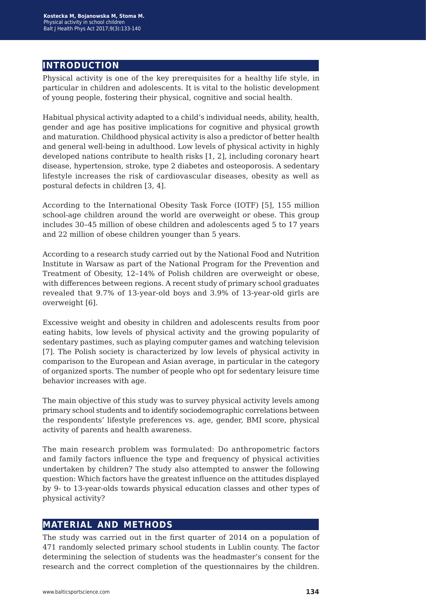## **introduction**

Physical activity is one of the key prerequisites for a healthy life style, in particular in children and adolescents. It is vital to the holistic development of young people, fostering their physical, cognitive and social health.

Habitual physical activity adapted to a child's individual needs, ability, health, gender and age has positive implications for cognitive and physical growth and maturation. Childhood physical activity is also a predictor of better health and general well-being in adulthood. Low levels of physical activity in highly developed nations contribute to health risks [1, 2], including coronary heart disease, hypertension, stroke, type 2 diabetes and osteoporosis. A sedentary lifestyle increases the risk of cardiovascular diseases, obesity as well as postural defects in children [3, 4].

According to the International Obesity Task Force (IOTF) [5], 155 million school-age children around the world are overweight or obese. This group includes 30–45 million of obese children and adolescents aged 5 to 17 years and 22 million of obese children younger than 5 years.

According to a research study carried out by the National Food and Nutrition Institute in Warsaw as part of the National Program for the Prevention and Treatment of Obesity, 12–14% of Polish children are overweight or obese, with differences between regions. A recent study of primary school graduates revealed that 9.7% of 13-year-old boys and 3.9% of 13-year-old girls are overweight [6].

Excessive weight and obesity in children and adolescents results from poor eating habits, low levels of physical activity and the growing popularity of sedentary pastimes, such as playing computer games and watching television [7]. The Polish society is characterized by low levels of physical activity in comparison to the European and Asian average, in particular in the category of organized sports. The number of people who opt for sedentary leisure time behavior increases with age.

The main objective of this study was to survey physical activity levels among primary school students and to identify sociodemographic correlations between the respondents' lifestyle preferences vs. age, gender, BMI score, physical activity of parents and health awareness.

The main research problem was formulated: Do anthropometric factors and family factors influence the type and frequency of physical activities undertaken by children? The study also attempted to answer the following question: Which factors have the greatest influence on the attitudes displayed by 9- to 13-year-olds towards physical education classes and other types of physical activity?

#### **material and methods**

The study was carried out in the first quarter of 2014 on a population of 471 randomly selected primary school students in Lublin county. The factor determining the selection of students was the headmaster's consent for the research and the correct completion of the questionnaires by the children.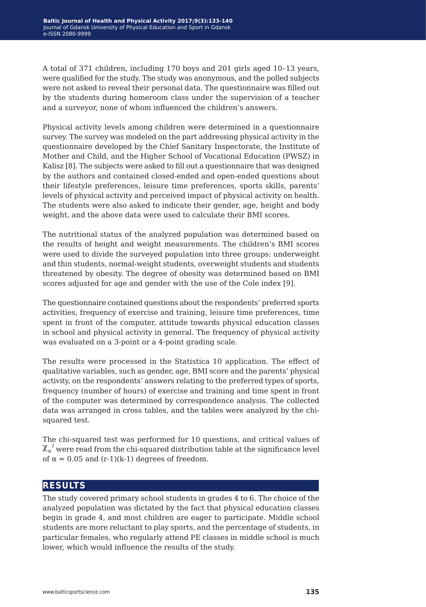A total of 371 children, including 170 boys and 201 girls aged 10–13 years, were qualified for the study. The study was anonymous, and the polled subjects were not asked to reveal their personal data. The questionnaire was filled out by the students during homeroom class under the supervision of a teacher and a surveyor, none of whom influenced the children's answers.

Physical activity levels among children were determined in a questionnaire survey. The survey was modeled on the part addressing physical activity in the questionnaire developed by the Chief Sanitary Inspectorate, the Institute of Mother and Child, and the Higher School of Vocational Education (PWSZ) in Kalisz [8]. The subjects were asked to fill out a questionnaire that was designed by the authors and contained closed-ended and open-ended questions about their lifestyle preferences, leisure time preferences, sports skills, parents' levels of physical activity and perceived impact of physical activity on health. The students were also asked to indicate their gender, age, height and body weight, and the above data were used to calculate their BMI scores.

The nutritional status of the analyzed population was determined based on the results of height and weight measurements. The children's BMI scores were used to divide the surveyed population into three groups: underweight and thin students, normal-weight students, overweight students and students threatened by obesity. The degree of obesity was determined based on BMI scores adjusted for age and gender with the use of the Cole index [9].

The questionnaire contained questions about the respondents' preferred sports activities, frequency of exercise and training, leisure time preferences, time spent in front of the computer, attitude towards physical education classes in school and physical activity in general. The frequency of physical activity was evaluated on a 3-point or a 4-point grading scale.

The results were processed in the Statistica 10 application. The effect of qualitative variables, such as gender, age, BMI score and the parents' physical activity, on the respondents' answers relating to the preferred types of sports, frequency (number of hours) of exercise and training and time spent in front of the computer was determined by correspondence analysis. The collected data was arranged in cross tables, and the tables were analyzed by the chisquared test.

The chi-squared test was performed for 10 questions, and critical values of  $\chi_\alpha^{-2}$  were read from the chi-squared distribution table at the significance level of  $\alpha = 0.05$  and  $(r-1)(k-1)$  degrees of freedom.

#### **results**

The study covered primary school students in grades 4 to 6. The choice of the analyzed population was dictated by the fact that physical education classes begin in grade 4, and most children are eager to participate. Middle school students are more reluctant to play sports, and the percentage of students, in particular females, who regularly attend PE classes in middle school is much lower, which would influence the results of the study.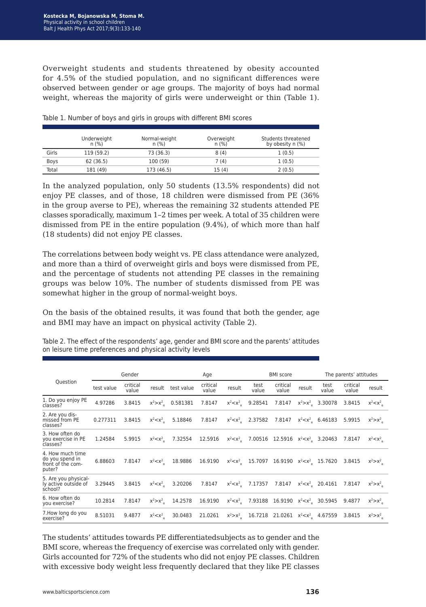Overweight students and students threatened by obesity accounted for 4.5% of the studied population, and no significant differences were observed between gender or age groups. The majority of boys had normal weight, whereas the majority of girls were underweight or thin (Table 1).

|       | Underweight<br>n(%) | Normal-weight<br>n(%) | Overweight<br>n(%) | Students threatened<br>by obesity $n$ (%) |
|-------|---------------------|-----------------------|--------------------|-------------------------------------------|
| Girls | 119 (59.2)          | 73 (36.3)             | 8(4)               | 1(0.5)                                    |
| Boys  | 62 (36.5)           | 100 (59)              | 7 (4)              | 1(0.5)                                    |
| Total | 181 (49)            | 173 (46.5)            | 15 (4)             | 2(0.5)                                    |

Table 1. Number of boys and girls in groups with different BMI scores

In the analyzed population, only 50 students (13.5% respondents) did not enjoy PE classes, and of those, 18 children were dismissed from PE (36% in the group averse to PE), whereas the remaining 32 students attended PE classes sporadically, maximum 1–2 times per week. A total of 35 children were dismissed from PE in the entire population (9.4%), of which more than half (18 students) did not enjoy PE classes.

The correlations between body weight vs. PE class attendance were analyzed, and more than a third of overweight girls and boys were dismissed from PE, and the percentage of students not attending PE classes in the remaining groups was below 10%. The number of students dismissed from PE was somewhat higher in the group of normal-weight boys.

On the basis of the obtained results, it was found that both the gender, age and BMI may have an impact on physical activity (Table 2).

|                                                                    | Gender     |                   |                   | Age                    |                   | <b>BMI</b> score |                                                     |                               | The parents' attitudes |                       |                   |             |
|--------------------------------------------------------------------|------------|-------------------|-------------------|------------------------|-------------------|------------------|-----------------------------------------------------|-------------------------------|------------------------|-----------------------|-------------------|-------------|
| Question                                                           | test value | critical<br>value | result            | test value             | critical<br>value | result           | test<br>value                                       | critical<br>value             | result                 | test<br>value         | critical<br>value | result      |
| 1. Do you enjoy PE<br>classes?                                     | 4.97286    | 3.8415            |                   | $x^2 > x^2$ , 0.581381 | 7.8147            | $x^2 < x^2$      | 9.28541                                             | 7.8147                        |                        | $x^2 > x^2$ , 3.30078 | 3.8415            | $x^2 < x^2$ |
| 2. Are you dis-<br>missed from PE<br>classes?                      | 0.277311   | 3.8415            | $x^2 < x^2$       | 5.18846                | 7.8147            | $x^2 < x^2$      | 2.37582                                             | 7.8147                        |                        | $x^2 < x^2$ , 6.46183 | 5.9915            | $x^2 > x^2$ |
| 3. How often do<br>you exercise in PE<br>classes?                  | 1.24584    | 5.9915            | $x^2 < x^2$       | 7.32554                | 12.5916           |                  | $x^2 < x^2$ , 7.00516 12.5916 $x^2 < x^2$ , 3.20463 |                               |                        |                       | 7.8147            | $X^2 < X^2$ |
| 4. How much time<br>do you spend in<br>front of the com-<br>puter? | 6.88603    | 7.8147            | $x^2$ $\lt$ $x^2$ | 18.9886                | 16.9190           |                  | $x^2 < x^2$ , 15.7097 16.9190 $x^2 < x^2$ , 15.7620 |                               |                        |                       | 3.8415            | $x^2 > x^2$ |
| 5. Are you physical-<br>ly active outside of<br>school?            | 3.29445    | 3.8415            | $x^2 < x^2$       | 3.20206                | 7.8147            |                  | $x^2 < x^2$ , 7.17357                               | 7.8147                        |                        | $x^2 < x^2$ , 20.4161 | 7.8147            | $x^2 > x^2$ |
| 6. How often do<br>you exercise?                                   | 10.2814    | 7.8147            | $x^2 > x^2$       | 14.2578                | 16.9190           |                  | $x^2 < x^2$ , 7.93188 16.9190 $x^2 < x^2$ , 30.5945 |                               |                        |                       | 9.4877            | $x^2 > x^2$ |
| 7. How long do you<br>exercise?                                    | 8.51031    | 9.4877            | $x^2 < x^2$       | 30.0483                | 21.0261           | $x^2 > x^2$      | 16.7218                                             | 21.0261 $x^2 < x^2$ , 4.67559 |                        |                       | 3.8415            | $x^2 > x^2$ |

Table 2. The effect of the respondents' age, gender and BMI score and the parents' attitudes on leisure time preferences and physical activity levels

The students' attitudes towards PE differentiatedsubjects as to gender and the BMI score, whereas the frequency of exercise was correlated only with gender. Girls accounted for 72% of the students who did not enjoy PE classes. Children with excessive body weight less frequently declared that they like PE classes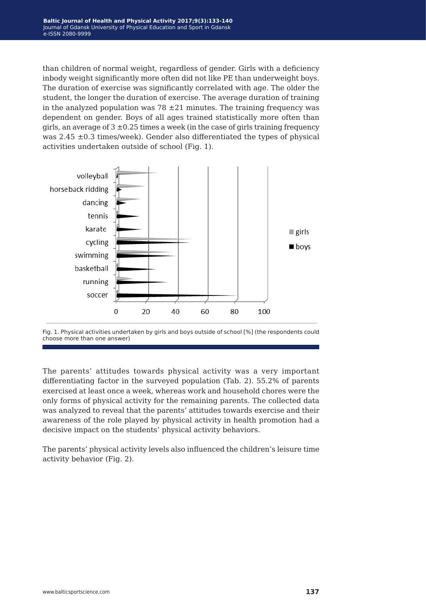than children of normal weight, regardless of gender. Girls with a deficiency inbody weight significantly more often did not like PE than underweight boys. The duration of exercise was significantly correlated with age. The older the student, the longer the duration of exercise. The average duration of training in the analyzed population was  $78 \pm 21$  minutes. The training frequency was dependent on gender. Boys of all ages trained statistically more often than girls, an average of  $3 \pm 0.25$  times a week (in the case of girls training frequency was  $2.45 \pm 0.3$  times/week). Gender also differentiated the types of physical activities undertaken outside of school (Fig. 1).



Fig. 1. Physical activities undertaken by girls and boys outside of school [%] (the respondents could choose more than one answer)

The parents' attitudes towards physical activity was a very important differentiating factor in the surveyed population (Tab. 2). 55.2% of parents exercised at least once a week, whereas work and household chores were the only forms of physical activity for the remaining parents. The collected data was analyzed to reveal that the parents' attitudes towards exercise and their awareness of the role played by physical activity in health promotion had a decisive impact on the students' physical activity behaviors.

The parents' physical activity levels also influenced the children's leisure time activity behavior (Fig. 2).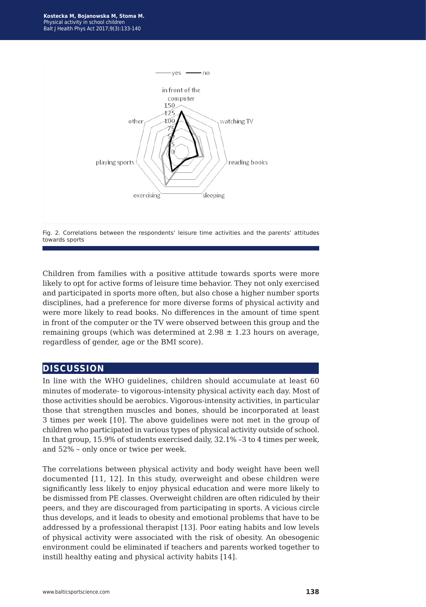



Children from families with a positive attitude towards sports were more likely to opt for active forms of leisure time behavior. They not only exercised and participated in sports more often, but also chose a higher number sports disciplines, had a preference for more diverse forms of physical activity and were more likely to read books. No differences in the amount of time spent in front of the computer or the TV were observed between this group and the remaining groups (which was determined at  $2.98 \pm 1.23$  hours on average, regardless of gender, age or the BMI score).

#### **discussion**

In line with the WHO guidelines, children should accumulate at least 60 minutes of moderate- to vigorous-intensity physical activity each day. Most of those activities should be aerobics. Vigorous-intensity activities, in particular those that strengthen muscles and bones, should be incorporated at least 3 times per week [10]. The above guidelines were not met in the group of children who participated in various types of physical activity outside of school. In that group, 15.9% of students exercised daily, 32.1% –3 to 4 times per week, and 52% – only once or twice per week.

The correlations between physical activity and body weight have been well documented [11, 12]. In this study, overweight and obese children were significantly less likely to enjoy physical education and were more likely to be dismissed from PE classes. Overweight children are often ridiculed by their peers, and they are discouraged from participating in sports. A vicious circle thus develops, and it leads to obesity and emotional problems that have to be addressed by a professional therapist [13]. Poor eating habits and low levels of physical activity were associated with the risk of obesity. An obesogenic environment could be eliminated if teachers and parents worked together to instill healthy eating and physical activity habits [14].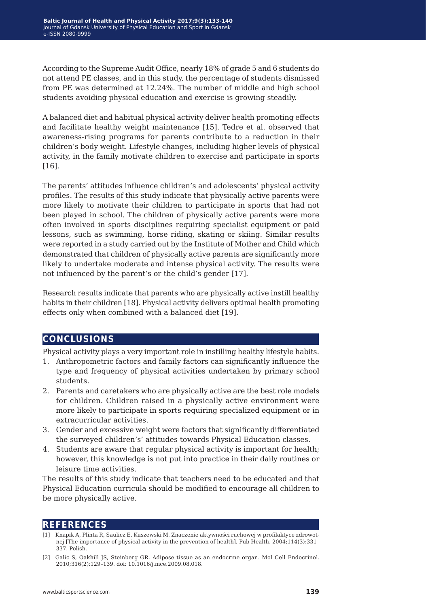According to the Supreme Audit Office, nearly 18% of grade 5 and 6 students do not attend PE classes, and in this study, the percentage of students dismissed from PE was determined at 12.24%. The number of middle and high school students avoiding physical education and exercise is growing steadily.

A balanced diet and habitual physical activity deliver health promoting effects and facilitate healthy weight maintenance [15]. Tedre et al. observed that awareness-rising programs for parents contribute to a reduction in their children's body weight. Lifestyle changes, including higher levels of physical activity, in the family motivate children to exercise and participate in sports [16].

The parents' attitudes influence children's and adolescents' physical activity profiles. The results of this study indicate that physically active parents were more likely to motivate their children to participate in sports that had not been played in school. The children of physically active parents were more often involved in sports disciplines requiring specialist equipment or paid lessons, such as swimming, horse riding, skating or skiing. Similar results were reported in a study carried out by the Institute of Mother and Child which demonstrated that children of physically active parents are significantly more likely to undertake moderate and intense physical activity. The results were not influenced by the parent's or the child's gender [17].

Research results indicate that parents who are physically active instill healthy habits in their children [18]. Physical activity delivers optimal health promoting effects only when combined with a balanced diet [19].

## **conclusions**

Physical activity plays a very important role in instilling healthy lifestyle habits.

- 1. Anthropometric factors and family factors can significantly influence the type and frequency of physical activities undertaken by primary school students.
- 2. Parents and caretakers who are physically active are the best role models for children. Children raised in a physically active environment were more likely to participate in sports requiring specialized equipment or in extracurricular activities.
- 3. Gender and excessive weight were factors that significantly differentiated the surveyed children's' attitudes towards Physical Education classes.
- 4. Students are aware that regular physical activity is important for health; however, this knowledge is not put into practice in their daily routines or leisure time activities.

The results of this study indicate that teachers need to be educated and that Physical Education curricula should be modified to encourage all children to be more physically active.

## **references**

- [1] Knapik A, Plinta R, Saulicz E, Kuszewski M. Znaczenie aktywności ruchowej w profilaktyce zdrowotnej [The importance of physical activity in the prevention of health]. Pub Health. 2004;114(3):331– 337. Polish.
- [2] Galic S, Oakhill JS, Steinberg GR. Adipose tissue as an endocrine organ. Mol Cell Endocrinol. 2010;316(2):129–139. doi: 10.1016/j.mce.2009.08.018.